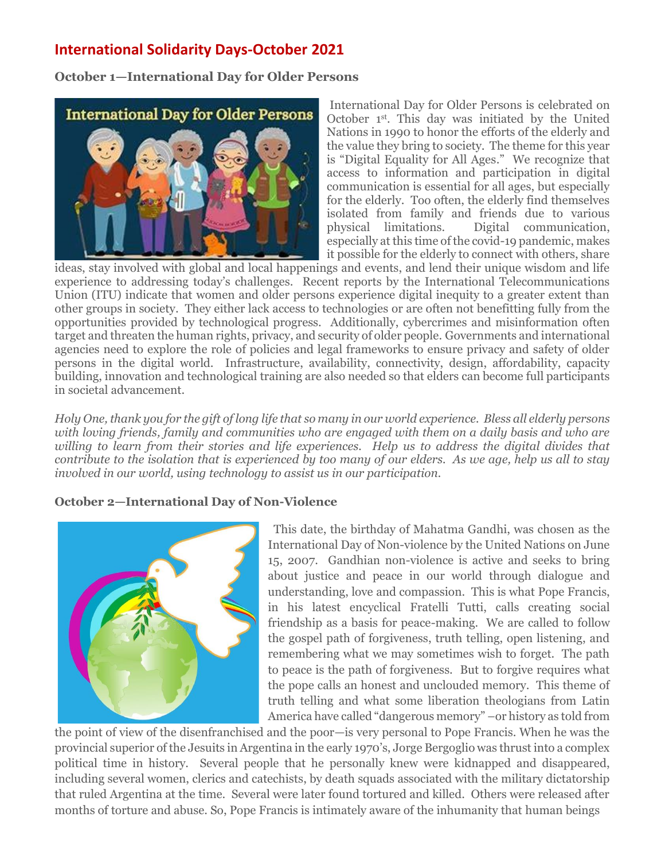# **[International Solidarity Days-October](http://www.franciscansisters-fcjm.org/index.php/en/join-us/suggested-participation/1053-participation-october-2015) 2021**

**October 1—International Day for Older Persons**



International Day for Older Persons is celebrated on October 1<sup>st</sup>. This day was initiated by the United Nations in 1990 to honor the efforts of the elderly and the value they bring to society. The theme for this year is "Digital Equality for All Ages." We recognize that access to information and participation in digital communication is essential for all ages, but especially for the elderly. Too often, the elderly find themselves isolated from family and friends due to various physical limitations. Digital communication, especially at this time of the covid-19 pandemic, makes it possible for the elderly to connect with others, share

ideas, stay involved with global and local happenings and events, and lend their unique wisdom and life experience to addressing today's challenges. Recent reports by the International Telecommunications Union (ITU) indicate that women and older persons experience digital inequity to a greater extent than other groups in society. They either lack access to technologies or are often not benefitting fully from the opportunities provided by technological progress. Additionally, cybercrimes and misinformation often target and threaten the human rights, privacy, and security of older people. Governments and international agencies need to explore the role of policies and legal frameworks to ensure privacy and safety of older persons in the digital world. Infrastructure, availability, connectivity, design, affordability, capacity building, innovation and technological training are also needed so that elders can become full participants in societal advancement.

*Holy One, thank you for the gift of long life that so many in our world experience. Bless all elderly persons with loving friends, family and communities who are engaged with them on a daily basis and who are willing to learn from their stories and life experiences. Help us to address the digital divides that contribute to the isolation that is experienced by too many of our elders. As we age, help us all to stay involved in our world, using technology to assist us in our participation.* 

#### **October 2—International Day of Non-Violence**



This date, the birthday of Mahatma Gandhi, was chosen as the International Day of Non-violence by the United Nations on June 15, 2007. Gandhian non-violence is active and seeks to bring about justice and peace in our world through dialogue and understanding, love and compassion. This is what Pope Francis, in his latest encyclical Fratelli Tutti, calls creating social friendship as a basis for peace-making. We are called to follow the gospel path of forgiveness, truth telling, open listening, and remembering what we may sometimes wish to forget. The path to peace is the path of forgiveness. But to forgive requires what the pope calls an honest and unclouded memory. This theme of truth telling and what some liberation theologians from Latin America have called "dangerous memory" –or history as told from

the point of view of the disenfranchised and the poor—is very personal to Pope Francis. When he was the provincial superior of the Jesuits in Argentina in the early 1970's, Jorge Bergoglio was thrust into a complex political time in history. Several people that he personally knew were kidnapped and disappeared, including several women, clerics and catechists, by death squads associated with the military dictatorship that ruled Argentina at the time. Several were later found tortured and killed. Others were released after months of torture and abuse. So, Pope Francis is intimately aware of the inhumanity that human beings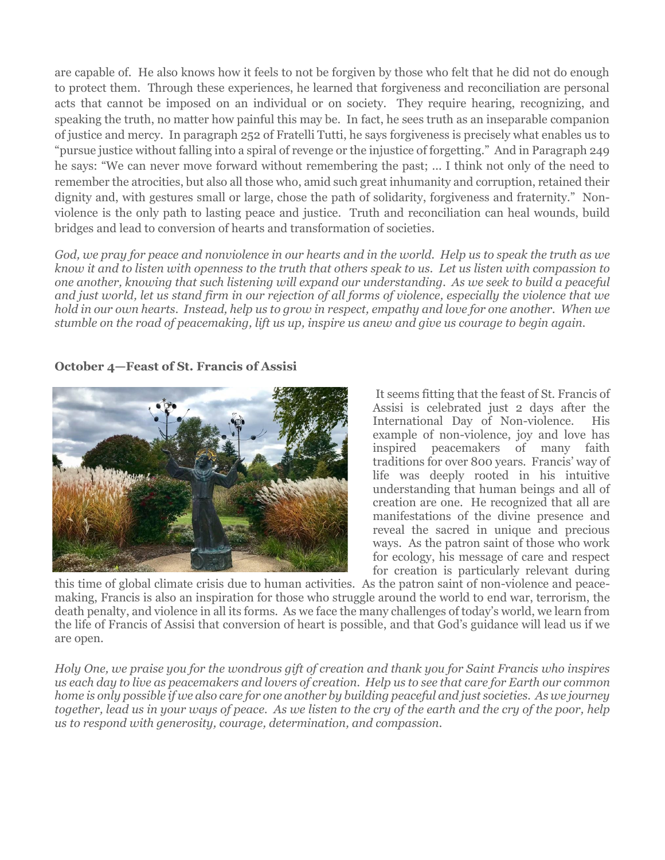are capable of. He also knows how it feels to not be forgiven by those who felt that he did not do enough to protect them. Through these experiences, he learned that forgiveness and reconciliation are personal acts that cannot be imposed on an individual or on society. They require hearing, recognizing, and speaking the truth, no matter how painful this may be. In fact, he sees truth as an inseparable companion of justice and mercy. In paragraph 252 of Fratelli Tutti, he says forgiveness is precisely what enables us to "pursue justice without falling into a spiral of revenge or the injustice of forgetting." And in Paragraph 249 he says: "We can never move forward without remembering the past; ... I think not only of the need to remember the atrocities, but also all those who, amid such great inhumanity and corruption, retained their dignity and, with gestures small or large, chose the path of solidarity, forgiveness and fraternity." Nonviolence is the only path to lasting peace and justice. Truth and reconciliation can heal wounds, build bridges and lead to conversion of hearts and transformation of societies.

*God, we pray for peace and nonviolence in our hearts and in the world. Help us to speak the truth as we know it and to listen with openness to the truth that others speak to us. Let us listen with compassion to one another, knowing that such listening will expand our understanding. As we seek to build a peaceful and just world, let us stand firm in our rejection of all forms of violence, especially the violence that we hold in our own hearts. Instead, help us to grow in respect, empathy and love for one another. When we stumble on the road of peacemaking, lift us up, inspire us anew and give us courage to begin again.*

#### **October 4—Feast of St. Francis of Assisi**



It seems fitting that the feast of St. Francis of Assisi is celebrated just 2 days after the International Day of Non-violence. His example of non-violence, joy and love has inspired peacemakers of many faith traditions for over 800 years. Francis' way of life was deeply rooted in his intuitive understanding that human beings and all of creation are one. He recognized that all are manifestations of the divine presence and reveal the sacred in unique and precious ways. As the patron saint of those who work for ecology, his message of care and respect for creation is particularly relevant during

this time of global climate crisis due to human activities. As the patron saint of non-violence and peacemaking, Francis is also an inspiration for those who struggle around the world to end war, terrorism, the death penalty, and violence in all its forms. As we face the many challenges of today's world, we learn from the life of Francis of Assisi that conversion of heart is possible, and that God's guidance will lead us if we are open.

*Holy One, we praise you for the wondrous gift of creation and thank you for Saint Francis who inspires us each day to live as peacemakers and lovers of creation. Help us to see that care for Earth our common home is only possible if we also care for one another by building peaceful and just societies. As we journey together, lead us in your ways of peace. As we listen to the cry of the earth and the cry of the poor, help us to respond with generosity, courage, determination, and compassion.*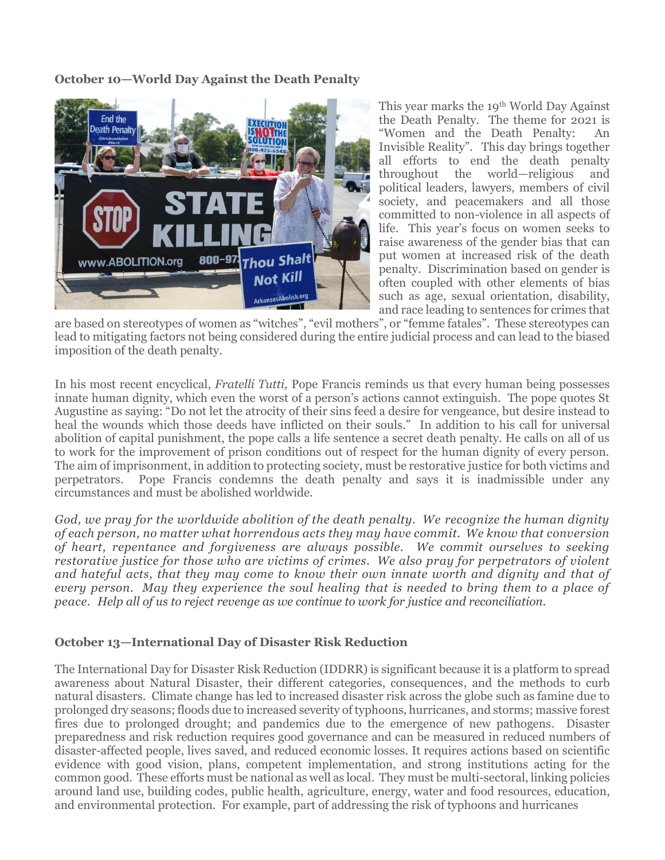**October 10—World Day Against the Death Penalty**



This year marks the 19th World Day Against the Death Penalty. The theme for 2021 is "Women and the Death Penalty: An Invisible Reality". This day brings together all efforts to end the death penalty throughout the world—religious and political leaders, lawyers, members of civil society, and peacemakers and all those committed to non-violence in all aspects of life. This year's focus on women seeks to raise awareness of the gender bias that can put women at increased risk of the death penalty. Discrimination based on gender is often coupled with other elements of bias such as age, sexual orientation, disability, and race leading to sentences for crimes that

are based on stereotypes of women as "witches", "evil mothers", or "femme fatales". These stereotypes can lead to mitigating factors not being considered during the entire judicial process and can lead to the biased imposition of the death penalty.

In his most recent encyclical, *Fratelli Tutti,* Pope Francis reminds us that every human being possesses innate human dignity, which even the worst of a person's actions cannot extinguish. The pope quotes St Augustine as saying: "Do not let the atrocity of their sins feed a desire for vengeance, but desire instead to heal the wounds which those deeds have inflicted on their souls." In addition to his call for universal abolition of capital punishment, the pope calls a life sentence a secret death penalty. He calls on all of us to work for the improvement of prison conditions out of respect for the human dignity of every person. The aim of imprisonment, in addition to protecting society, must be restorative justice for both victims and perpetrators. Pope Francis condemns the death penalty and says it is inadmissible under any circumstances and must be abolished worldwide.

*God, we pray for the worldwide abolition of the death penalty. We recognize the human dignity of each person, no matter what horrendous acts they may have commit. We know that conversion of heart, repentance and forgiveness are always possible. We commit ourselves to seeking restorative justice for those who are victims of crimes. We also pray for perpetrators of violent and hateful acts, that they may come to know their own innate worth and dignity and that of every person. May they experience the soul healing that is needed to bring them to a place of peace. Help all of us to reject revenge as we continue to work for justice and reconciliation.* 

### **October 13—International Day of Disaster Risk Reduction**

The International Day for Disaster Risk Reduction (IDDRR) is significant because it is a platform to spread awareness about Natural Disaster, their different categories, consequences, and the methods to curb natural disasters. Climate change has led to increased disaster risk across the globe such as famine due to prolonged dry seasons; floods due to increased severity of typhoons, hurricanes, and storms; massive forest fires due to prolonged drought; and pandemics due to the emergence of new pathogens. Disaster preparedness and risk reduction requires good governance and can be measured in reduced numbers of disaster-affected people, lives saved, and reduced economic losses. It requires actions based on scientific evidence with good vision, plans, competent implementation, and strong institutions acting for the common good. These efforts must be national as well as local. They must be multi-sectoral, linking policies around land use, building codes, public health, agriculture, energy, water and food resources, education, and environmental protection. For example, part of addressing the risk of typhoons and hurricanes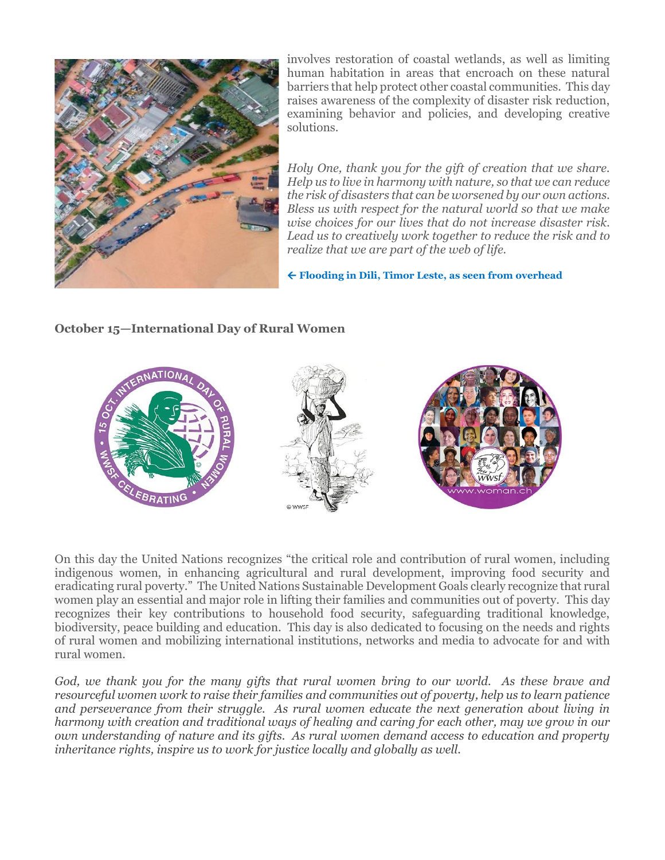

involves restoration of coastal wetlands, as well as limiting human habitation in areas that encroach on these natural barriers that help protect other coastal communities. This day raises awareness of the complexity of disaster risk reduction, examining behavior and policies, and developing creative solutions.

*Holy One, thank you for the gift of creation that we share. Help us to live in harmony with nature, so that we can reduce the risk of disasters that can be worsened by our own actions. Bless us with respect for the natural world so that we make wise choices for our lives that do not increase disaster risk. Lead us to creatively work together to reduce the risk and to realize that we are part of the web of life.*

**Flooding in Dili, Timor Leste, as seen from overhead**

### **October 15—International Day of Rural Women**



On this day the United Nations recognizes "the critical role and contribution of rural women, including indigenous women, in enhancing agricultural and rural development, improving food security and eradicating rural poverty." The United Nations Sustainable Development Goals clearly recognize that rural women play an essential and major role in lifting their families and communities out of poverty. This day recognizes their key contributions to household food security, safeguarding traditional knowledge, biodiversity, peace building and education. This day is also dedicated to focusing on the needs and rights of rural women and mobilizing international institutions, networks and media to advocate for and with rural women.

*God, we thank you for the many gifts that rural women bring to our world. As these brave and resourceful women work to raise their families and communities out of poverty, help us to learn patience and perseverance from their struggle. As rural women educate the next generation about living in harmony with creation and traditional ways of healing and caring for each other, may we grow in our own understanding of nature and its gifts. As rural women demand access to education and property inheritance rights, inspire us to work for justice locally and globally as well.*